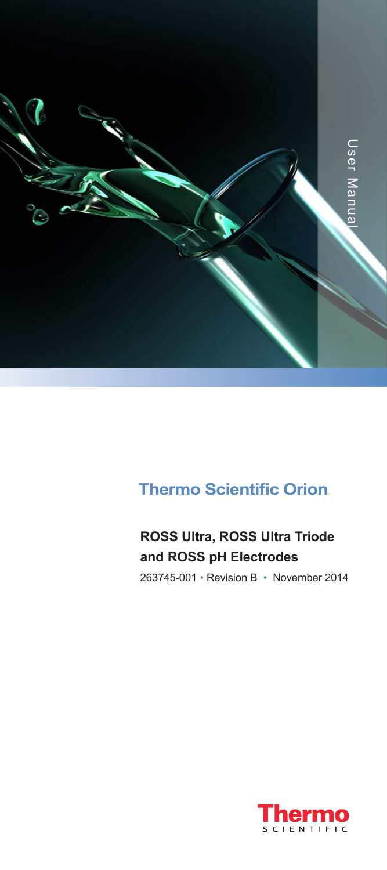

### **Thermo Scientific Orion**

### **ROSS Ultra, ROSS Ultra Triode and ROSS pH Electrodes**

263745-001 • Revision B • November 2014

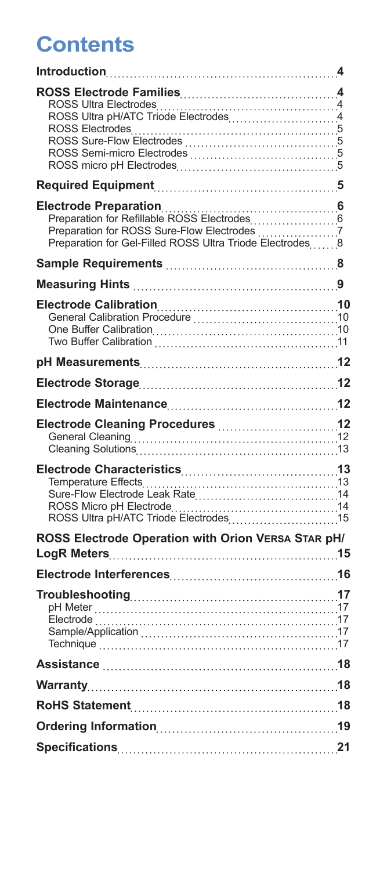## **Contents**

| ROSS Electrodes<br>ROSS Sure-Flow Electrodes              |  |
|-----------------------------------------------------------|--|
|                                                           |  |
| Preparation for Gel-Filled ROSS Ultra Triode Electrodes 8 |  |
|                                                           |  |
|                                                           |  |
|                                                           |  |
|                                                           |  |
|                                                           |  |
|                                                           |  |
|                                                           |  |
|                                                           |  |
| ROSS Electrode Operation with Orion VERSA STAR pH/        |  |
|                                                           |  |
|                                                           |  |
|                                                           |  |
|                                                           |  |
|                                                           |  |
|                                                           |  |
|                                                           |  |
|                                                           |  |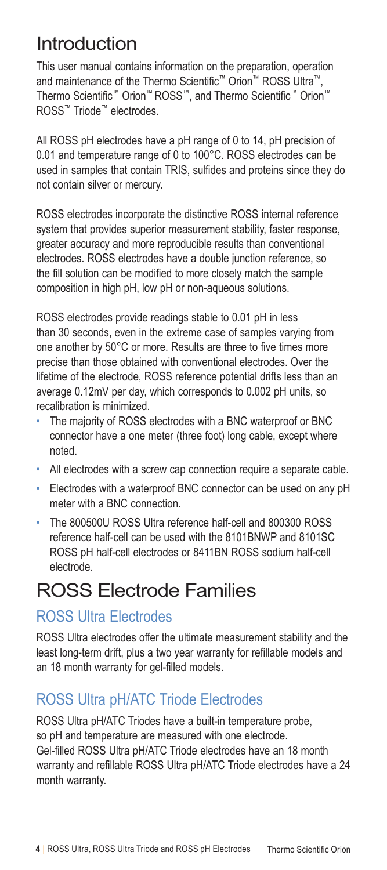### Introduction

This user manual contains information on the preparation, operation and maintenance of the Thermo Scientific™ Orion™ ROSS Ultra™, Thermo Scientific™ Orion™ ROSS™, and Thermo Scientific™ Orion™ ROSS™ Triode™ electrodes.

All ROSS pH electrodes have a pH range of 0 to 14, pH precision of 0.01 and temperature range of 0 to 100°C. ROSS electrodes can be used in samples that contain TRIS, sulfides and proteins since they do not contain silver or mercury.

ROSS electrodes incorporate the distinctive ROSS internal reference system that provides superior measurement stability, faster response, greater accuracy and more reproducible results than conventional electrodes. ROSS electrodes have a double junction reference, so the fill solution can be modified to more closely match the sample composition in high pH, low pH or non-aqueous solutions.

ROSS electrodes provide readings stable to 0.01 pH in less than 30 seconds, even in the extreme case of samples varying from one another by 50°C or more. Results are three to five times more precise than those obtained with conventional electrodes. Over the lifetime of the electrode, ROSS reference potential drifts less than an average 0.12mV per day, which corresponds to 0.002 pH units, so recalibration is minimized.

- The majority of ROSS electrodes with a BNC waterproof or BNC connector have a one meter (three foot) long cable, except where noted.
- All electrodes with a screw cap connection require a separate cable.
- Electrodes with a waterproof BNC connector can be used on any pH meter with a BNC connection.
- The 800500U ROSS Ultra reference half-cell and 800300 ROSS reference half-cell can be used with the 8101BNWP and 8101SC ROSS pH half-cell electrodes or 8411BN ROSS sodium half-cell electrode.

### ROSS Electrode Families

#### ROSS Ultra Electrodes

ROSS Ultra electrodes offer the ultimate measurement stability and the least long-term drift, plus a two year warranty for refillable models and an 18 month warranty for gel-filled models.

### ROSS Ultra pH/ATC Triode Electrodes

ROSS Ultra pH/ATC Triodes have a built-in temperature probe, so pH and temperature are measured with one electrode. Gel-filled ROSS Ultra pH/ATC Triode electrodes have an 18 month warranty and refillable ROSS Ultra pH/ATC Triode electrodes have a 24 month warranty.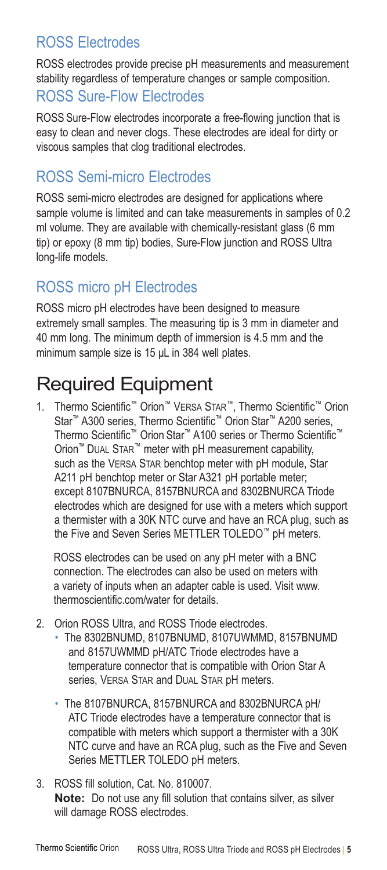### ROSS Electrodes

ROSS electrodes provide precise pH measurements and measurement stability regardless of temperature changes or sample composition.

#### ROSS Sure-Flow Electrodes

ROSS Sure-Flow electrodes incorporate a free-flowing junction that is easy to clean and never clogs. These electrodes are ideal for dirty or viscous samples that clog traditional electrodes.

#### ROSS Semi-micro Electrodes

ROSS semi-micro electrodes are designed for applications where sample volume is limited and can take measurements in samples of 0.2 ml volume. They are available with chemically-resistant glass (6 mm tip) or epoxy (8 mm tip) bodies, Sure-Flow junction and ROSS Ultra long-life models.

#### ROSS micro pH Electrodes

ROSS micro pH electrodes have been designed to measure extremely small samples. The measuring tip is 3 mm in diameter and 40 mm long. The minimum depth of immersion is 4.5 mm and the minimum sample size is 15 μL in 384 well plates.

## Required Equipment

1. Thermo Scientific™ Orion™ Versa Star™, Thermo Scientific™ Orion Star<sup>™</sup> A300 series, Thermo Scientific<sup>™</sup> Orion Star™ A200 series, Thermo Scientific™ Orion Star™ A100 series or Thermo Scientific™ Orion™ Dual Star™ meter with pH measurement capability, such as the VERSA STAR benchtop meter with pH module, Star A211 pH benchtop meter or Star A321 pH portable meter; except 8107BNURCA, 8157BNURCA and 8302BNURCA Triode electrodes which are designed for use with a meters which support a thermister with a 30K NTC curve and have an RCA plug, such as the Five and Seven Series METTLER TOLEDO™ pH meters.

ROSS electrodes can be used on any pH meter with a BNC connection. The electrodes can also be used on meters with a variety of inputs when an adapter cable is used. Visit www. thermoscientific.com/water for details.

- 2. Orion ROSS Ultra, and ROSS Triode electrodes.
	- The 8302BNUMD, 8107BNUMD, 8107UWMMD, 8157BNUMD and 8157UWMMD pH/ATC Triode electrodes have a temperature connector that is compatible with Orion Star A series, VERSA STAR and DUAL STAR pH meters.
	- The 8107BNURCA, 8157BNURCA and 8302BNURCA pH/ ATC Triode electrodes have a temperature connector that is compatible with meters which support a thermister with a 30K NTC curve and have an RCA plug, such as the Five and Seven Series METTLER TOLEDO pH meters.
- 3. ROSS fill solution, Cat. No. 810007. **Note:** Do not use any fill solution that contains silver, as silver will damage ROSS electrodes.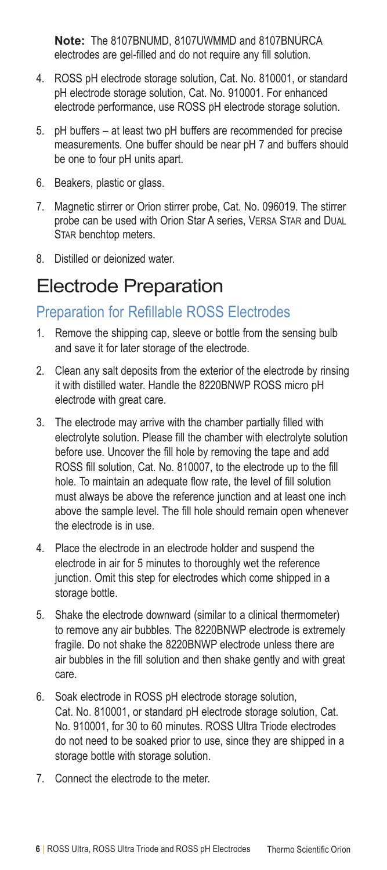**Note:** The 8107BNUMD, 8107UWMMD and 8107BNURCA electrodes are gel-filled and do not require any fill solution.

- 4. ROSS pH electrode storage solution, Cat. No. 810001, or standard pH electrode storage solution, Cat. No. 910001. For enhanced electrode performance, use ROSS pH electrode storage solution.
- 5. pH buffers at least two pH buffers are recommended for precise measurements. One buffer should be near pH 7 and buffers should be one to four pH units apart.
- 6. Beakers, plastic or glass.
- 7. Magnetic stirrer or Orion stirrer probe, Cat. No. 096019. The stirrer probe can be used with Orion Star A series, VERSA STAR and DUAL STAR benchtop meters.
- 8. Distilled or deionized water.

### Electrode Preparation

#### Preparation for Refillable ROSS Electrodes

- 1. Remove the shipping cap, sleeve or bottle from the sensing bulb and save it for later storage of the electrode.
- 2. Clean any salt deposits from the exterior of the electrode by rinsing it with distilled water. Handle the 8220BNWP ROSS micro pH electrode with great care.
- 3. The electrode may arrive with the chamber partially filled with electrolyte solution. Please fill the chamber with electrolyte solution before use. Uncover the fill hole by removing the tape and add ROSS fill solution, Cat. No. 810007, to the electrode up to the fill hole. To maintain an adequate flow rate, the level of fill solution must always be above the reference junction and at least one inch above the sample level. The fill hole should remain open whenever the electrode is in use.
- 4. Place the electrode in an electrode holder and suspend the electrode in air for 5 minutes to thoroughly wet the reference junction. Omit this step for electrodes which come shipped in a storage bottle.
- 5. Shake the electrode downward (similar to a clinical thermometer) to remove any air bubbles. The 8220BNWP electrode is extremely fragile. Do not shake the 8220BNWP electrode unless there are air bubbles in the fill solution and then shake gently and with great care.
- 6. Soak electrode in ROSS pH electrode storage solution, Cat. No. 810001, or standard pH electrode storage solution, Cat. No. 910001, for 30 to 60 minutes. ROSS Ultra Triode electrodes do not need to be soaked prior to use, since they are shipped in a storage bottle with storage solution.
- 7. Connect the electrode to the meter.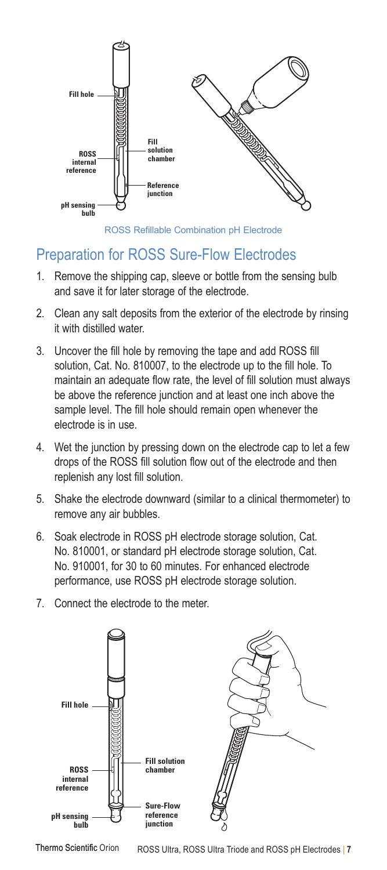

ROSS Refillable Combination pH Electrode

#### Preparation for ROSS Sure-Flow Electrodes

- 1. Remove the shipping cap, sleeve or bottle from the sensing bulb and save it for later storage of the electrode.
- 2. Clean any salt deposits from the exterior of the electrode by rinsing it with distilled water.
- **Fill hole** maintain an adequate flow rate, the level of fill solution must always 3. Uncover the fill hole by removing the tape and add ROSS fill solution, Cat. No. 810007, to the electrode up to the fill hole. To be above the reference junction and at least one inch above the sample level. The fill hole should remain open whenever the **Fill hole** electrode is in use.
- 4. Wet the junction by pressing down on the electrode cap to let a few **Sure-Flow** drops of the ROSS fill solution flow out of the electrode and then **ROSS** replenish any lost fill solution. **Fill solution chamber**
- 5. Shake the electrode downward (similar to a clinical thermometer) to **Reference** remove any air bubbles.
- 6. Soak electrode in ROSS pH electrode storage solution, Cat. No. 810001, or standard pH electrode storage solution, Cat. No. 910001, for 30 to 60 minutes. For enhanced electrode performance, use ROSS pH electrode storage solution.
- 7. Connect the electrode to the meter.



Thermo Scientific Orion ROSS Ultra, ROSS Ultra Triode and ROSS pH Electrodes | 7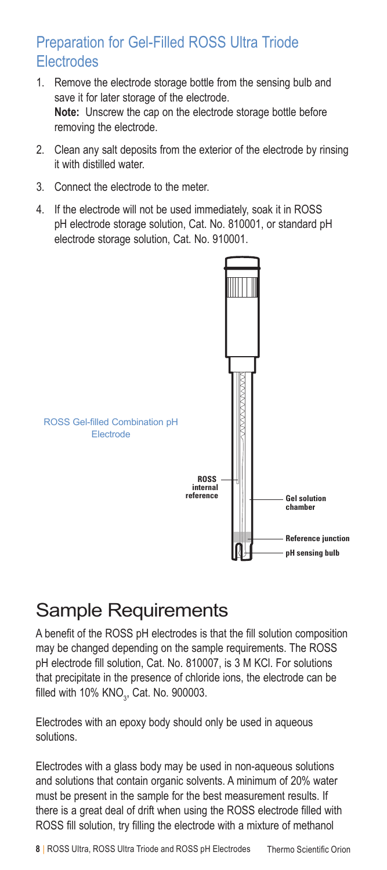#### Preparation for Gel-Filled ROSS Ultra Triode **Electrodes**

- 1. Remove the electrode storage bottle from the sensing bulb and save it for later storage of the electrode. **Note:** Unscrew the cap on the electrode storage bottle before removing the electrode.
- 2. Clean any salt deposits from the exterior of the electrode by rinsing it with distilled water.
- 3. Connect the electrode to the meter.
- 4. If the electrode will not be used immediately, soak it in ROSS pH electrode storage solution, Cat. No. 810001, or standard pH electrode storage solution, Cat. No. 910001.



### Sample Requirements

A benefit of the ROSS pH electrodes is that the fill solution composition may be changed depending on the sample requirements. The ROSS pH electrode fill solution, Cat. No. 810007, is 3 M KCl. For solutions that precipitate in the presence of chloride ions, the electrode can be filled with 10% KNO $_{\rm 3}$ , Cat. No. 900003.

Electrodes with an epoxy body should only be used in aqueous solutions.

Electrodes with a glass body may be used in non-aqueous solutions and solutions that contain organic solvents. A minimum of 20% water must be present in the sample for the best measurement results. If there is a great deal of drift when using the ROSS electrode filled with ROSS fill solution, try filling the electrode with a mixture of methanol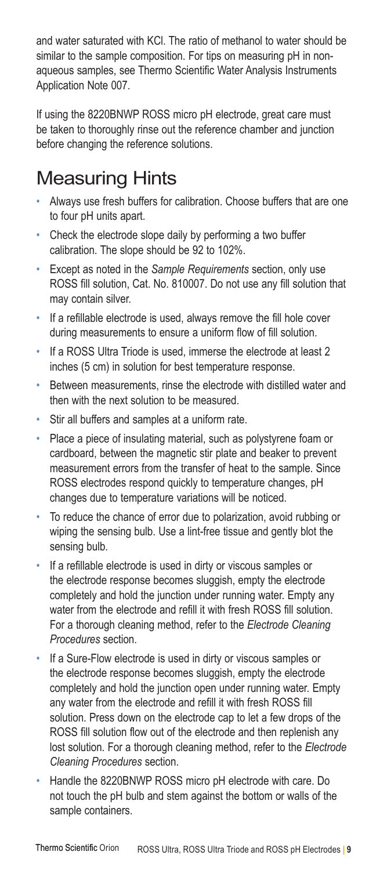and water saturated with KCl. The ratio of methanol to water should be similar to the sample composition. For tips on measuring pH in nonaqueous samples, see Thermo Scientific Water Analysis Instruments Application Note 007.

If using the 8220BNWP ROSS micro pH electrode, great care must be taken to thoroughly rinse out the reference chamber and junction before changing the reference solutions.

### Measuring Hints

- Always use fresh buffers for calibration. Choose buffers that are one to four pH units apart.
- Check the electrode slope daily by performing a two buffer calibration. The slope should be 92 to 102%.
- Except as noted in the *Sample Requirements* section, only use ROSS fill solution, Cat. No. 810007. Do not use any fill solution that may contain silver.
- If a refillable electrode is used, always remove the fill hole cover during measurements to ensure a uniform flow of fill solution.
- If a ROSS Ultra Triode is used, immerse the electrode at least 2 inches (5 cm) in solution for best temperature response.
- Between measurements, rinse the electrode with distilled water and then with the next solution to be measured.
- Stir all buffers and samples at a uniform rate.
- Place a piece of insulating material, such as polystyrene foam or cardboard, between the magnetic stir plate and beaker to prevent measurement errors from the transfer of heat to the sample. Since ROSS electrodes respond quickly to temperature changes, pH changes due to temperature variations will be noticed.
- To reduce the chance of error due to polarization, avoid rubbing or wiping the sensing bulb. Use a lint-free tissue and gently blot the sensing bulb.
- If a refillable electrode is used in dirty or viscous samples or the electrode response becomes sluggish, empty the electrode completely and hold the junction under running water. Empty any water from the electrode and refill it with fresh ROSS fill solution. For a thorough cleaning method, refer to the *Electrode Cleaning Procedures* section.
- If a Sure-Flow electrode is used in dirty or viscous samples or the electrode response becomes sluggish, empty the electrode completely and hold the junction open under running water. Empty any water from the electrode and refill it with fresh ROSS fill solution. Press down on the electrode cap to let a few drops of the ROSS fill solution flow out of the electrode and then replenish any lost solution. For a thorough cleaning method, refer to the *Electrode Cleaning Procedures* section.
- Handle the 8220BNWP ROSS micro pH electrode with care. Do not touch the pH bulb and stem against the bottom or walls of the sample containers.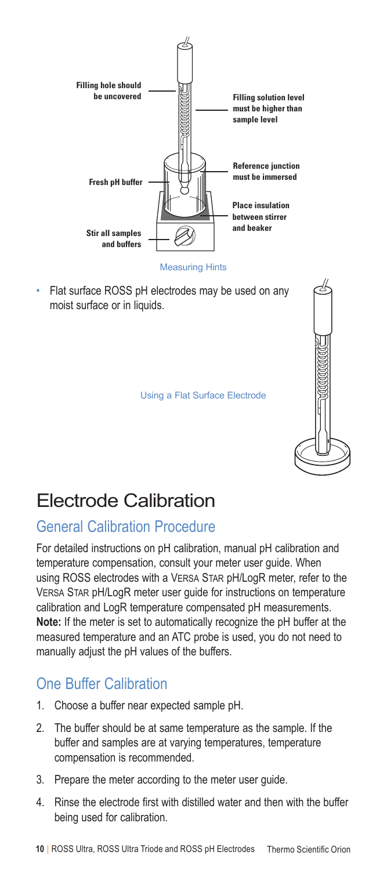

Measuring Hints

• Flat surface ROSS pH electrodes may be used on any moist surface or in liquids.



Using a Flat Surface Electrode

## Electrode Calibration

### General Calibration Procedure

For detailed instructions on pH calibration, manual pH calibration and temperature compensation, consult your meter user guide. When using ROSS electrodes with a Versa Star pH/LogR meter, refer to the Versa Star pH/LogR meter user guide for instructions on temperature calibration and LogR temperature compensated pH measurements. **Note:** If the meter is set to automatically recognize the pH buffer at the measured temperature and an ATC probe is used, you do not need to manually adjust the pH values of the buffers.

### One Buffer Calibration

- 1. Choose a buffer near expected sample pH.
- 2. The buffer should be at same temperature as the sample. If the buffer and samples are at varying temperatures, temperature compensation is recommended.
- 3. Prepare the meter according to the meter user guide.
- 4. Rinse the electrode first with distilled water and then with the buffer being used for calibration.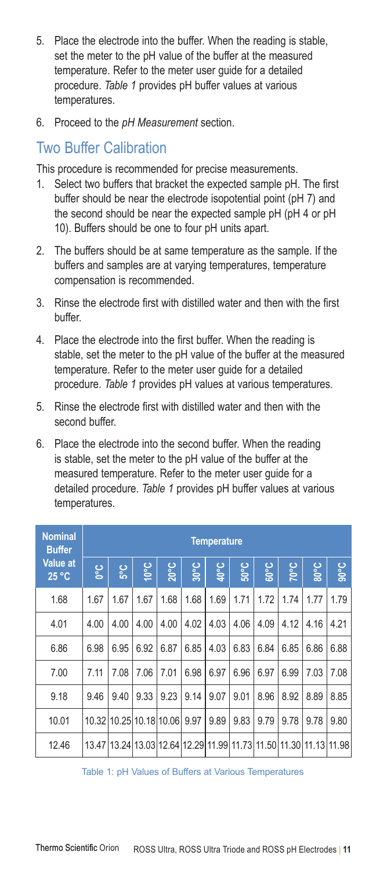- 5. Place the electrode into the buffer. When the reading is stable, set the meter to the pH value of the buffer at the measured temperature. Refer to the meter user guide for a detailed procedure. *Table 1* provides pH buffer values at various temperatures.
- 6. Proceed to the *pH Measurement* section.

#### Two Buffer Calibration

This procedure is recommended for precise measurements.

- 1. Select two buffers that bracket the expected sample pH. The first buffer should be near the electrode isopotential point (pH 7) and the second should be near the expected sample pH (pH 4 or pH 10). Buffers should be one to four pH units apart.
- 2. The buffers should be at same temperature as the sample. If the buffers and samples are at varying temperatures, temperature compensation is recommended.
- 3. Rinse the electrode first with distilled water and then with the first buffer.
- 4. Place the electrode into the first buffer. When the reading is stable, set the meter to the pH value of the buffer at the measured temperature. Refer to the meter user guide for a detailed procedure. *Table 1* provides pH values at various temperatures.
- 5. Rinse the electrode first with distilled water and then with the second buffer.
- 6. Place the electrode into the second buffer. When the reading is stable, set the meter to the pH value of the buffer at the measured temperature. Refer to the meter user guide for a detailed procedure. *Table 1* provides pH buffer values at various temperatures.

| <b>Nominal</b><br><b>Buffer</b>   |        | <b>Temperature</b>                                                |                |                |                |             |                |      |                  |            |                |
|-----------------------------------|--------|-------------------------------------------------------------------|----------------|----------------|----------------|-------------|----------------|------|------------------|------------|----------------|
| <b>Value at</b><br>$25^{\circ}$ C | ပ္စ္လိ | နိ                                                                | $\frac{5}{10}$ | $20^{\circ}$ C | $30^{\circ}$ C | <b>10°C</b> | $50^{\circ}$ C | ခြင် | 200 <sub>0</sub> | <b>SOG</b> | $30^{\circ}$ C |
| 1.68                              | 1.67   | 1.67                                                              | 1.67           | 1.68           | 1.68           | 1.69        | 1.71           | 1.72 | 1.74             | 1.77       | 1.79           |
| 4.01                              | 4.00   | 4.00                                                              | 4.00           | 4.00           | 4.02           | 4.03        | 4.06           | 4.09 | 4.12             | 4.16       | 4.21           |
| 6.86                              | 6.98   | 6.95                                                              | 6.92           | 6.87           | 6.85           | 4.03        | 6.83           | 6.84 | 6.85             | 6.86       | 6.88           |
| 7.00                              | 7.11   | 7.08                                                              | 7.06           | 7.01           | 6.98           | 6.97        | 6.96           | 6.97 | 6.99             | 7.03       | 7.08           |
| 9.18                              | 9.46   | 9.40                                                              | 9.33           | 9.23           | 9.14           | 9.07        | 9.01           | 8.96 | 8.92             | 8.89       | 8.85           |
| 10.01                             |        | 10.32 10.25 10.18 10.06                                           |                |                | 9.97           | 9.89        | 9.83           | 9.79 | 9.78             | 9.78       | 9.80           |
| 12.46                             |        | 13.47 13.24 13.03 12.64 12.29 11.99 11.73 11.50 11.30 11.13 11.98 |                |                |                |             |                |      |                  |            |                |

Table 1: pH Values of Buffers at Various Temperatures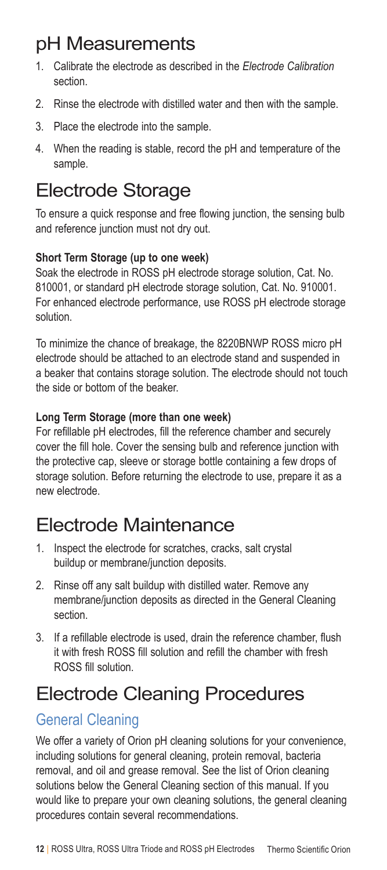## pH Measurements

- 1. Calibrate the electrode as described in the *Electrode Calibration*  section.
- 2. Rinse the electrode with distilled water and then with the sample.
- 3. Place the electrode into the sample.
- 4. When the reading is stable, record the pH and temperature of the sample.

### Electrode Storage

To ensure a quick response and free flowing junction, the sensing bulb and reference junction must not dry out.

#### **Short Term Storage (up to one week)**

Soak the electrode in ROSS pH electrode storage solution, Cat. No. 810001, or standard pH electrode storage solution, Cat. No. 910001. For enhanced electrode performance, use ROSS pH electrode storage solution.

To minimize the chance of breakage, the 8220BNWP ROSS micro pH electrode should be attached to an electrode stand and suspended in a beaker that contains storage solution. The electrode should not touch the side or bottom of the beaker.

#### **Long Term Storage (more than one week)**

For refillable pH electrodes, fill the reference chamber and securely cover the fill hole. Cover the sensing bulb and reference junction with the protective cap, sleeve or storage bottle containing a few drops of storage solution. Before returning the electrode to use, prepare it as a new electrode.

### Electrode Maintenance

- 1. Inspect the electrode for scratches, cracks, salt crystal buildup or membrane/junction deposits.
- 2. Rinse off any salt buildup with distilled water. Remove any membrane/junction deposits as directed in the General Cleaning section.
- 3. If a refillable electrode is used, drain the reference chamber, flush it with fresh ROSS fill solution and refill the chamber with fresh ROSS fill solution.

## Electrode Cleaning Procedures

### General Cleaning

We offer a variety of Orion pH cleaning solutions for your convenience, including solutions for general cleaning, protein removal, bacteria removal, and oil and grease removal. See the list of Orion cleaning solutions below the General Cleaning section of this manual. If you would like to prepare your own cleaning solutions, the general cleaning procedures contain several recommendations.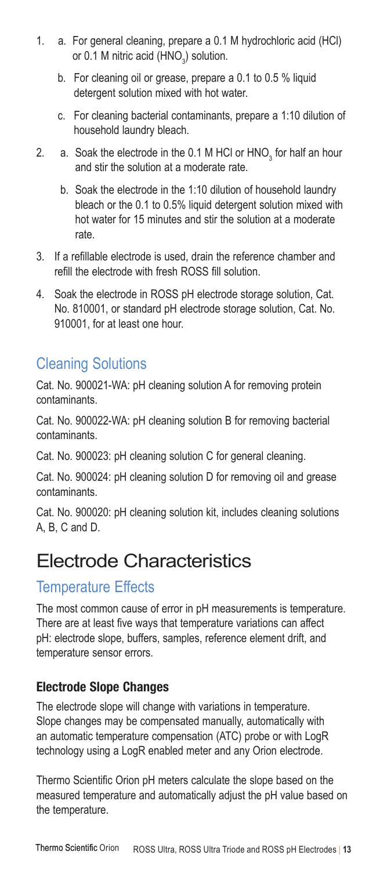- 1. a. For general cleaning, prepare a 0.1 M hydrochloric acid (HCl) or 0.1 M nitric acid  $(\mathsf{HNO}_3)$  solution.
	- b. For cleaning oil or grease, prepare a 0.1 to 0.5 % liquid detergent solution mixed with hot water.
	- c. For cleaning bacterial contaminants, prepare a 1:10 dilution of household laundry bleach.
- 2.  $\alpha$  Soak the electrode in the 0.1 M HCl or HNO<sub>3</sub> for half an hour and stir the solution at a moderate rate.
	- b. Soak the electrode in the 1:10 dilution of household laundry bleach or the 0.1 to 0.5% liquid detergent solution mixed with hot water for 15 minutes and stir the solution at a moderate rate.
- 3. If a refillable electrode is used, drain the reference chamber and refill the electrode with fresh ROSS fill solution.
- 4. Soak the electrode in ROSS pH electrode storage solution, Cat. No. 810001, or standard pH electrode storage solution, Cat. No. 910001, for at least one hour.

### Cleaning Solutions

Cat. No. 900021-WA: pH cleaning solution A for removing protein contaminants.

Cat. No. 900022-WA: pH cleaning solution B for removing bacterial contaminants.

Cat. No. 900023: pH cleaning solution C for general cleaning.

Cat. No. 900024: pH cleaning solution D for removing oil and grease contaminants.

Cat. No. 900020: pH cleaning solution kit, includes cleaning solutions A, B, C and D.

### Electrode Characteristics

#### Temperature Effects

The most common cause of error in pH measurements is temperature. There are at least five ways that temperature variations can affect pH: electrode slope, buffers, samples, reference element drift, and temperature sensor errors.

#### Electrode Slope Changes

The electrode slope will change with variations in temperature. Slope changes may be compensated manually, automatically with an automatic temperature compensation (ATC) probe or with LogR technology using a LogR enabled meter and any Orion electrode.

Thermo Scientific Orion pH meters calculate the slope based on the measured temperature and automatically adjust the pH value based on the temperature.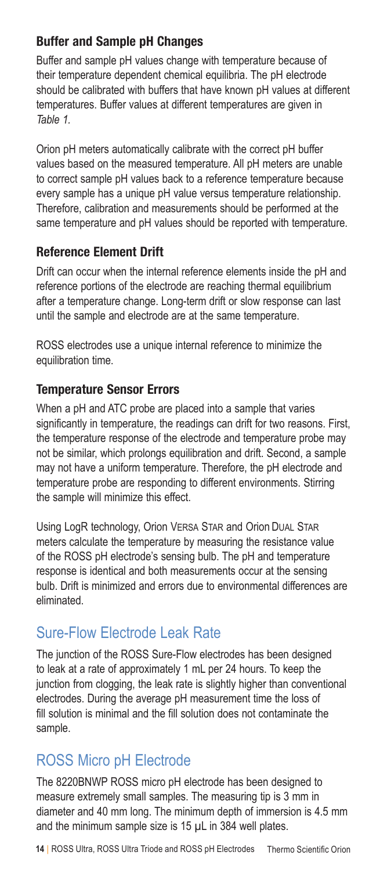#### Buffer and Sample pH Changes

Buffer and sample pH values change with temperature because of their temperature dependent chemical equilibria. The pH electrode should be calibrated with buffers that have known pH values at different temperatures. Buffer values at different temperatures are given in *Table 1.*

Orion pH meters automatically calibrate with the correct pH buffer values based on the measured temperature. All pH meters are unable to correct sample pH values back to a reference temperature because every sample has a unique pH value versus temperature relationship. Therefore, calibration and measurements should be performed at the same temperature and pH values should be reported with temperature.

#### Reference Element Drift

Drift can occur when the internal reference elements inside the pH and reference portions of the electrode are reaching thermal equilibrium after a temperature change. Long-term drift or slow response can last until the sample and electrode are at the same temperature.

ROSS electrodes use a unique internal reference to minimize the equilibration time.

#### Temperature Sensor Errors

When a pH and ATC probe are placed into a sample that varies significantly in temperature, the readings can drift for two reasons. First, the temperature response of the electrode and temperature probe may not be similar, which prolongs equilibration and drift. Second, a sample may not have a uniform temperature. Therefore, the pH electrode and temperature probe are responding to different environments. Stirring the sample will minimize this effect.

Using LogR technology, Orion Versa Star and Orion Dual Star meters calculate the temperature by measuring the resistance value of the ROSS pH electrode's sensing bulb. The pH and temperature response is identical and both measurements occur at the sensing bulb. Drift is minimized and errors due to environmental differences are eliminated.

#### Sure-Flow Electrode Leak Rate

The junction of the ROSS Sure-Flow electrodes has been designed to leak at a rate of approximately 1 mL per 24 hours. To keep the junction from clogging, the leak rate is slightly higher than conventional electrodes. During the average pH measurement time the loss of fill solution is minimal and the fill solution does not contaminate the sample.

#### ROSS Micro pH Electrode

The 8220BNWP ROSS micro pH electrode has been designed to measure extremely small samples. The measuring tip is 3 mm in diameter and 40 mm long. The minimum depth of immersion is 4.5 mm and the minimum sample size is 15 µL in 384 well plates.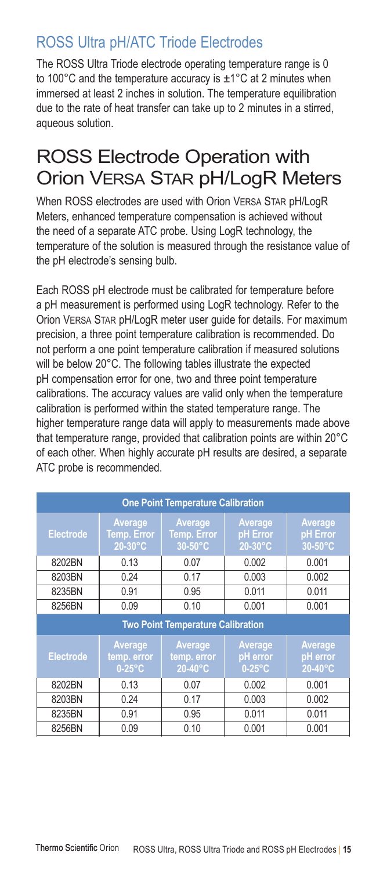### ROSS Ultra pH/ATC Triode Electrodes

The ROSS Ultra Triode electrode operating temperature range is 0 to 100 $^{\circ}$ C and the temperature accuracy is  $\pm$ 1 $^{\circ}$ C at 2 minutes when immersed at least 2 inches in solution. The temperature equilibration due to the rate of heat transfer can take up to 2 minutes in a stirred, aqueous solution.

### ROSS Electrode Operation with Orion Versa Star pH/LogR Meters

When ROSS electrodes are used with Orion VERSA STAR pH/LogR Meters, enhanced temperature compensation is achieved without the need of a separate ATC probe. Using LogR technology, the temperature of the solution is measured through the resistance value of the pH electrode's sensing bulb.

Each ROSS pH electrode must be calibrated for temperature before a pH measurement is performed using LogR technology. Refer to the Orion Versa Star pH/LogR meter user guide for details. For maximum precision, a three point temperature calibration is recommended. Do not perform a one point temperature calibration if measured solutions will be below 20°C. The following tables illustrate the expected pH compensation error for one, two and three point temperature calibrations. The accuracy values are valid only when the temperature calibration is performed within the stated temperature range. The higher temperature range data will apply to measurements made above that temperature range, provided that calibration points are within 20°C of each other. When highly accurate pH results are desired, a separate ATC probe is recommended.

| <b>One Point Temperature Calibration</b> |                                          |                                          |                                  |                                |  |
|------------------------------------------|------------------------------------------|------------------------------------------|----------------------------------|--------------------------------|--|
| <b>Electrode</b>                         | Average<br><b>Temp. Error</b><br>20-30°C | Average<br><b>Temp. Error</b><br>30-50°C | Average<br>pH Error<br>20-30°C   | Average<br>pH Error<br>30-50°C |  |
| 8202BN                                   | 0.13                                     | 0.07                                     | 0.002                            | 0.001                          |  |
| 8203BN                                   | 0.24                                     | 0.17                                     | 0.003                            | 0.002                          |  |
| 8235BN                                   | 0.91                                     | 0.95                                     | 0.011                            | 0.011                          |  |
| 8256BN                                   | 0.09                                     | 0.10                                     | 0.001                            | 0.001                          |  |
| <b>Two Point Temperature Calibration</b> |                                          |                                          |                                  |                                |  |
| <b>Electrode</b>                         | Average<br>temp. error<br>$0-25$ °C      | Average<br>temp. error<br>20-40°C        | Average<br>pH error<br>$0-25$ °C | Average<br>pH error<br>20-40°C |  |
| 8202BN                                   | 0.13                                     | 0.07                                     | 0.002                            | 0.001                          |  |
| 8203BN                                   | 0.24                                     | 0.17                                     | 0.003                            | 0.002                          |  |
| 8235BN                                   | 0.91                                     | 0.95                                     | 0.011                            | 0.011                          |  |
| 8256BN                                   | 0.09                                     | 0.10                                     | 0.001                            | 0.001                          |  |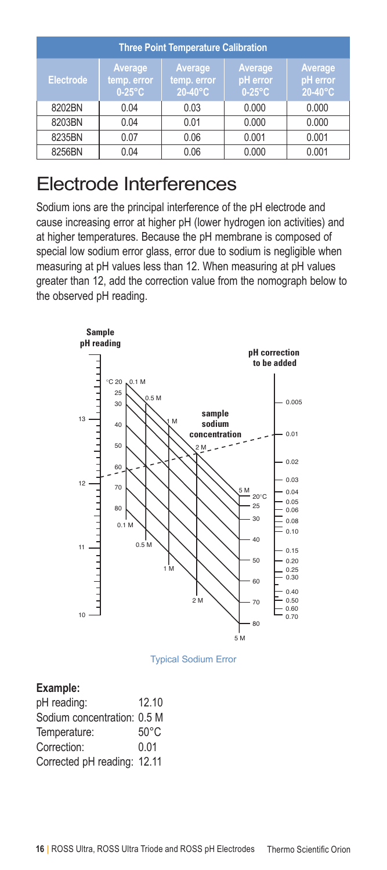| <b>Three Point Temperature Calibration</b> |                                     |                                            |                                  |                                |  |
|--------------------------------------------|-------------------------------------|--------------------------------------------|----------------------------------|--------------------------------|--|
| <b>Electrode</b>                           | Average<br>temp. error<br>$0-25$ °C | Average<br>temp. error<br>$20-40\degree$ C | Average<br>pH error<br>$0-25$ °C | Average<br>pH error<br>20-40°C |  |
| 8202BN                                     | 0.04                                | 0.03                                       | 0.000                            | 0.000                          |  |
| 8203BN                                     | 0.04                                | 0.01                                       | 0.000                            | 0.000                          |  |
| 8235BN                                     | 0.07                                | 0.06                                       | 0.001                            | 0.001                          |  |
| 8256BN                                     | 0.04                                | 0.06                                       | 0.000                            | 0.001                          |  |

### Electrode Interferences

Sodium ions are the principal interference of the pH electrode and cause increasing error at higher pH (lower hydrogen ion activities) and at higher temperatures. Because the pH membrane is composed of special low sodium error glass, error due to sodium is negligible when measuring at pH values less than 12. When measuring at pH values greater than 12, add the correction value from the nomograph below to the observed pH reading.



Typical Sodium Error

#### **Example:**

| pH reading:                 | 12.10 |
|-----------------------------|-------|
| Sodium concentration: 0.5 M |       |
| Temperature:                | 50°C  |
| Correction:                 | 0.01  |
| Corrected pH reading: 12.11 |       |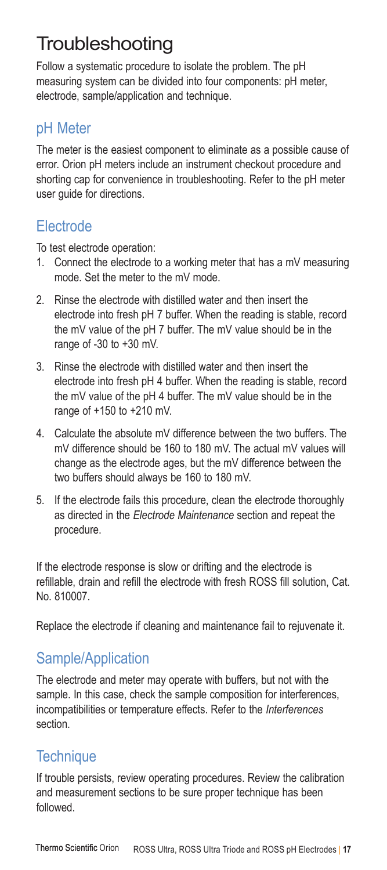## **Troubleshooting**

Follow a systematic procedure to isolate the problem. The pH measuring system can be divided into four components: pH meter, electrode, sample/application and technique.

#### pH Meter

The meter is the easiest component to eliminate as a possible cause of error. Orion pH meters include an instrument checkout procedure and shorting cap for convenience in troubleshooting. Refer to the pH meter user guide for directions.

### Electrode

To test electrode operation:

- 1. Connect the electrode to a working meter that has a mV measuring mode. Set the meter to the mV mode.
- 2. Rinse the electrode with distilled water and then insert the electrode into fresh pH 7 buffer. When the reading is stable, record the mV value of the pH 7 buffer. The mV value should be in the range of -30 to +30 mV.
- 3. Rinse the electrode with distilled water and then insert the electrode into fresh pH 4 buffer. When the reading is stable, record the mV value of the pH 4 buffer. The mV value should be in the range of +150 to +210 mV.
- 4. Calculate the absolute mV difference between the two buffers. The mV difference should be 160 to 180 mV. The actual mV values will change as the electrode ages, but the mV difference between the two buffers should always be 160 to 180 mV.
- 5. If the electrode fails this procedure, clean the electrode thoroughly as directed in the *Electrode Maintenance* section and repeat the procedure.

If the electrode response is slow or drifting and the electrode is refillable, drain and refill the electrode with fresh ROSS fill solution, Cat. No. 810007.

Replace the electrode if cleaning and maintenance fail to rejuvenate it.

### Sample/Application

The electrode and meter may operate with buffers, but not with the sample. In this case, check the sample composition for interferences, incompatibilities or temperature effects. Refer to the *Interferences* section.

### **Technique**

If trouble persists, review operating procedures. Review the calibration and measurement sections to be sure proper technique has been followed.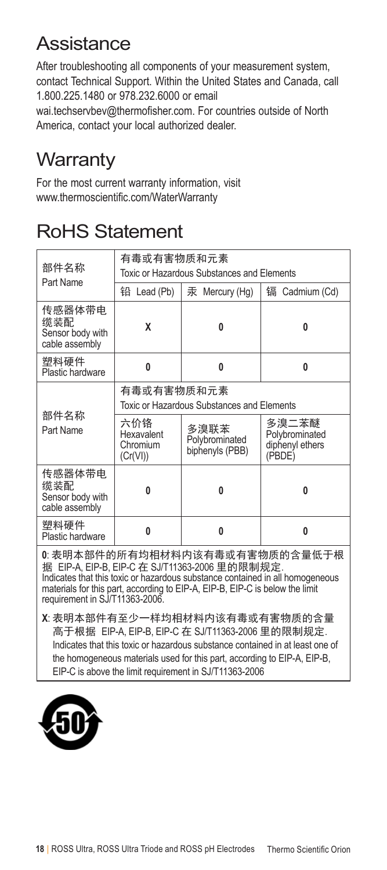### Assistance

After troubleshooting all components of your measurement system, contact Technical Support. Within the United States and Canada, call 1.800.225.1480 or 978.232.6000 or email

wai.techservbev@thermofisher.com. For countries outside of North America, contact your local authorized dealer.

## **Warranty**

For the most current warranty information, visit www.thermoscientific.com/WaterWarranty

## RoHS Statement

| 部件名称                                                                                                                                                                                                                                                                                                                 | 有毒或有害物质和元素<br>Toxic or Hazardous Substances and Elements |                                           |                                                      |  |  |  |
|----------------------------------------------------------------------------------------------------------------------------------------------------------------------------------------------------------------------------------------------------------------------------------------------------------------------|----------------------------------------------------------|-------------------------------------------|------------------------------------------------------|--|--|--|
| Part Name                                                                                                                                                                                                                                                                                                            |                                                          |                                           |                                                      |  |  |  |
|                                                                                                                                                                                                                                                                                                                      | 铅 Lead (Pb)                                              | 汞 Mercury (Hg)                            | 镉<br>Cadmium (Cd)                                    |  |  |  |
| 传感器体带电<br>缆装配<br>Sensor body with<br>cable assembly                                                                                                                                                                                                                                                                  | X                                                        | Λ                                         | U                                                    |  |  |  |
| 塑料硬件<br>Plastic hardware                                                                                                                                                                                                                                                                                             | 0                                                        | $\bf{0}$                                  | 0                                                    |  |  |  |
|                                                                                                                                                                                                                                                                                                                      | 有毒或有害物质和元素                                               |                                           |                                                      |  |  |  |
|                                                                                                                                                                                                                                                                                                                      | Toxic or Hazardous Substances and Elements               |                                           |                                                      |  |  |  |
| 部件名称<br>Part Name                                                                                                                                                                                                                                                                                                    | 六价铬<br>Hexavalent<br>Chromium<br>(Cr(VI))                | 多溴联苯<br>Polybrominated<br>biphenyls (PBB) | 多溴二苯醚<br>Polybrominated<br>diphenyl ethers<br>(PBDE) |  |  |  |
| 传感器体带电<br>缆装配<br>Sensor body with<br>cable assembly                                                                                                                                                                                                                                                                  | $\bf{0}$                                                 | U                                         | 0                                                    |  |  |  |
| 塑料硬件<br>Plastic hardware                                                                                                                                                                                                                                                                                             | $\bf{0}$                                                 | $\bf{0}$                                  | 0                                                    |  |  |  |
| 0. 表明本部件的所有均相材料内该有毒或有害物质的含量低于根<br>据 EIP-A, EIP-B, EIP-C 在 SJ/T11363-2006 里的限制规定.<br>Indicates that this toxic or hazardous substance contained in all homogeneous<br>materials for this part, according to EIP-A, EIP-B, EIP-C is below the limit<br>requirement in SJ/T11363-2006.<br>V. 主明天如研右云小,拦护担扶幽市凌右丰式右宝梅氏的态具 |                                                          |                                           |                                                      |  |  |  |

**X**: 表明本部件有至少一样均相材料内该有毒或有害物质的含量 高于根据 EIP-A, EIP-B, EIP-C 在 SJ/T11363-2006 里的限制规定. Indicates that this toxic or hazardous substance contained in at least one of the homogeneous materials used for this part, according to EIP-A, EIP-B, EIP-C is above the limit requirement in SJ/T11363-2006

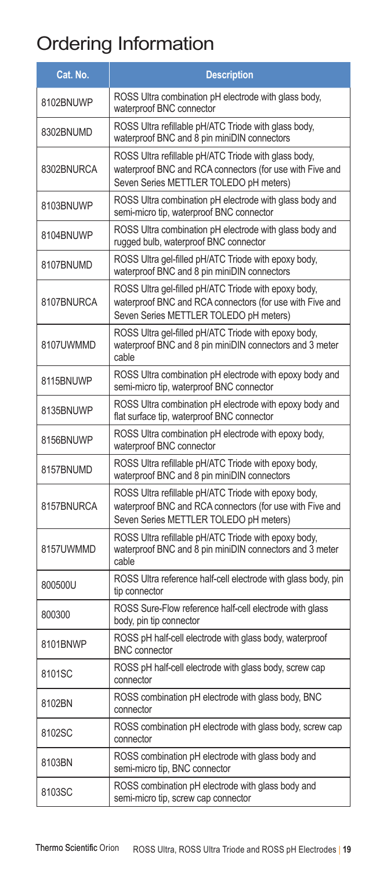# Ordering Information

| Cat. No.   | <b>Description</b>                                                                                                                                         |
|------------|------------------------------------------------------------------------------------------------------------------------------------------------------------|
| 8102BNUWP  | ROSS Ultra combination pH electrode with glass body,<br>waterproof BNC connector                                                                           |
| 8302BNUMD  | ROSS Ultra refillable pH/ATC Triode with glass body,<br>waterproof BNC and 8 pin miniDIN connectors                                                        |
| 8302BNURCA | ROSS Ultra refillable pH/ATC Triode with glass body,<br>waterproof BNC and RCA connectors (for use with Five and<br>Seven Series METTLER TOLEDO pH meters) |
| 8103BNUWP  | ROSS Ultra combination pH electrode with glass body and<br>semi-micro tip, waterproof BNC connector                                                        |
| 8104BNUWP  | ROSS Ultra combination pH electrode with glass body and<br>rugged bulb, waterproof BNC connector                                                           |
| 8107BNUMD  | ROSS Ultra gel-filled pH/ATC Triode with epoxy body,<br>waterproof BNC and 8 pin miniDIN connectors                                                        |
| 8107BNURCA | ROSS Ultra gel-filled pH/ATC Triode with epoxy body,<br>waterproof BNC and RCA connectors (for use with Five and<br>Seven Series METTLER TOLEDO pH meters) |
| 8107UWMMD  | ROSS Ultra gel-filled pH/ATC Triode with epoxy body,<br>waterproof BNC and 8 pin miniDIN connectors and 3 meter<br>cable                                   |
| 8115BNUWP  | ROSS Ultra combination pH electrode with epoxy body and<br>semi-micro tip, waterproof BNC connector                                                        |
| 8135BNUWP  | ROSS Ultra combination pH electrode with epoxy body and<br>flat surface tip, waterproof BNC connector                                                      |
| 8156BNUWP  | ROSS Ultra combination pH electrode with epoxy body,<br>waterproof BNC connector                                                                           |
| 8157BNUMD  | ROSS Ultra refillable pH/ATC Triode with epoxy body,<br>waterproof BNC and 8 pin miniDIN connectors                                                        |
| 8157BNURCA | ROSS Ultra refillable pH/ATC Triode with epoxy body,<br>waterproof BNC and RCA connectors (for use with Five and<br>Seven Series METTLER TOLEDO pH meters) |
| 8157UWMMD  | ROSS Ultra refillable pH/ATC Triode with epoxy body,<br>waterproof BNC and 8 pin miniDIN connectors and 3 meter<br>cable                                   |
| 800500U    | ROSS Ultra reference half-cell electrode with glass body, pin<br>tip connector                                                                             |
| 800300     | ROSS Sure-Flow reference half-cell electrode with glass<br>body, pin tip connector                                                                         |
| 8101BNWP   | ROSS pH half-cell electrode with glass body, waterproof<br><b>BNC</b> connector                                                                            |
| 8101SC     | ROSS pH half-cell electrode with glass body, screw cap<br>connector                                                                                        |
| 8102BN     | ROSS combination pH electrode with glass body, BNC<br>connector                                                                                            |
| 8102SC     | ROSS combination pH electrode with glass body, screw cap<br>connector                                                                                      |
| 8103BN     | ROSS combination pH electrode with glass body and<br>semi-micro tip, BNC connector                                                                         |
| 8103SC     | ROSS combination pH electrode with glass body and<br>semi-micro tip, screw cap connector                                                                   |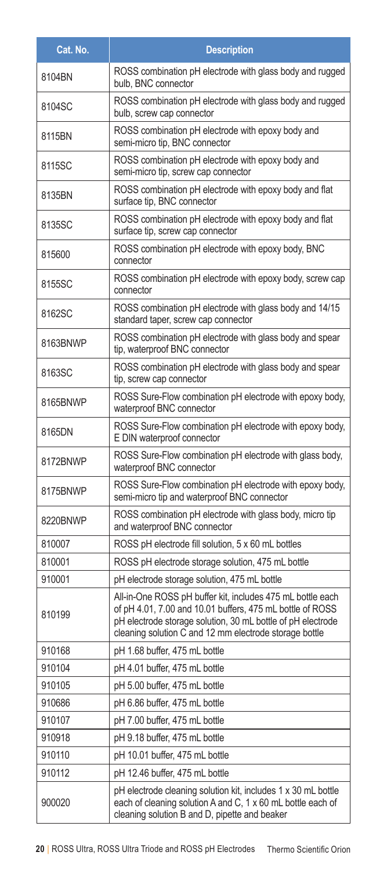| Cat. No. | <b>Description</b>                                                                                                                                                                                                                               |
|----------|--------------------------------------------------------------------------------------------------------------------------------------------------------------------------------------------------------------------------------------------------|
| 8104BN   | ROSS combination pH electrode with glass body and rugged<br>bulb, BNC connector                                                                                                                                                                  |
| 8104SC   | ROSS combination pH electrode with glass body and rugged<br>bulb, screw cap connector                                                                                                                                                            |
| 8115BN   | ROSS combination pH electrode with epoxy body and<br>semi-micro tip, BNC connector                                                                                                                                                               |
| 8115SC   | ROSS combination pH electrode with epoxy body and<br>semi-micro tip, screw cap connector                                                                                                                                                         |
| 8135BN   | ROSS combination pH electrode with epoxy body and flat<br>surface tip, BNC connector                                                                                                                                                             |
| 8135SC   | ROSS combination pH electrode with epoxy body and flat<br>surface tip, screw cap connector                                                                                                                                                       |
| 815600   | ROSS combination pH electrode with epoxy body, BNC<br>connector                                                                                                                                                                                  |
| 8155SC   | ROSS combination pH electrode with epoxy body, screw cap<br>connector                                                                                                                                                                            |
| 8162SC   | ROSS combination pH electrode with glass body and 14/15<br>standard taper, screw cap connector                                                                                                                                                   |
| 8163BNWP | ROSS combination pH electrode with glass body and spear<br>tip, waterproof BNC connector                                                                                                                                                         |
| 8163SC   | ROSS combination pH electrode with glass body and spear<br>tip, screw cap connector                                                                                                                                                              |
| 8165BNWP | ROSS Sure-Flow combination pH electrode with epoxy body,<br>waterproof BNC connector                                                                                                                                                             |
| 8165DN   | ROSS Sure-Flow combination pH electrode with epoxy body,<br>E DIN waterproof connector                                                                                                                                                           |
| 8172BNWP | ROSS Sure-Flow combination pH electrode with glass body,<br>waterproof BNC connector                                                                                                                                                             |
| 8175BNWP | ROSS Sure-Flow combination pH electrode with epoxy body,<br>semi-micro tip and waterproof BNC connector                                                                                                                                          |
| 8220BNWP | ROSS combination pH electrode with glass body, micro tip<br>and waterproof BNC connector                                                                                                                                                         |
| 810007   | ROSS pH electrode fill solution, 5 x 60 mL bottles                                                                                                                                                                                               |
| 810001   | ROSS pH electrode storage solution, 475 mL bottle                                                                                                                                                                                                |
| 910001   | pH electrode storage solution, 475 mL bottle                                                                                                                                                                                                     |
| 810199   | All-in-One ROSS pH buffer kit, includes 475 mL bottle each<br>of pH 4.01, 7.00 and 10.01 buffers, 475 mL bottle of ROSS<br>pH electrode storage solution, 30 mL bottle of pH electrode<br>cleaning solution C and 12 mm electrode storage bottle |
| 910168   | pH 1.68 buffer, 475 mL bottle                                                                                                                                                                                                                    |
| 910104   | pH 4.01 buffer, 475 mL bottle                                                                                                                                                                                                                    |
| 910105   | pH 5.00 buffer, 475 mL bottle                                                                                                                                                                                                                    |
| 910686   | pH 6.86 buffer, 475 mL bottle                                                                                                                                                                                                                    |
| 910107   | pH 7.00 buffer, 475 mL bottle                                                                                                                                                                                                                    |
| 910918   | pH 9.18 buffer, 475 mL bottle                                                                                                                                                                                                                    |
| 910110   | pH 10.01 buffer, 475 mL bottle                                                                                                                                                                                                                   |
| 910112   | pH 12.46 buffer, 475 mL bottle                                                                                                                                                                                                                   |
| 900020   | pH electrode cleaning solution kit, includes 1 x 30 mL bottle<br>each of cleaning solution A and C, 1 x 60 mL bottle each of<br>cleaning solution B and D, pipette and beaker                                                                    |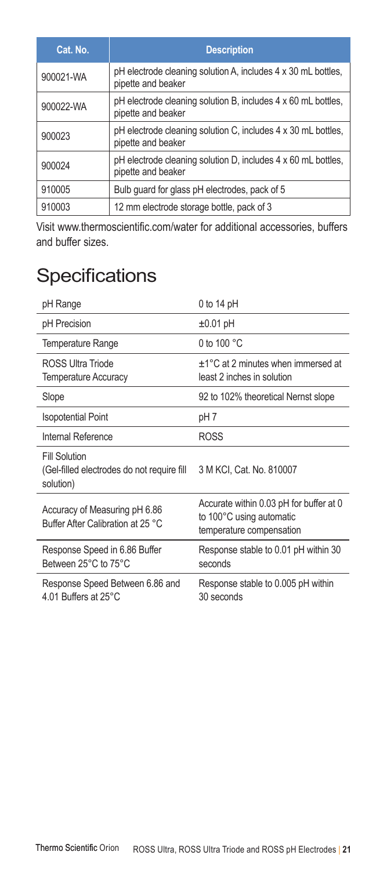| Cat. No.  | <b>Description</b>                                                                  |
|-----------|-------------------------------------------------------------------------------------|
| 900021-WA | pH electrode cleaning solution A, includes 4 x 30 mL bottles,<br>pipette and beaker |
| 900022-WA | pH electrode cleaning solution B, includes 4 x 60 mL bottles,<br>pipette and beaker |
| 900023    | pH electrode cleaning solution C, includes 4 x 30 mL bottles,<br>pipette and beaker |
| 900024    | pH electrode cleaning solution D, includes 4 x 60 mL bottles.<br>pipette and beaker |
| 910005    | Bulb guard for glass pH electrodes, pack of 5                                       |
| 910003    | 12 mm electrode storage bottle, pack of 3                                           |

Visit www.thermoscientific.com/water for additional accessories, buffers and buffer sizes.

## **Specifications**

| pH Range                                                                        | $0$ to 14 pH                                                                                    |
|---------------------------------------------------------------------------------|-------------------------------------------------------------------------------------------------|
| pH Precision                                                                    | $±0.01$ pH                                                                                      |
| Temperature Range                                                               | 0 to 100 $^{\circ}$ C                                                                           |
| <b>ROSS Ultra Triode</b><br><b>Temperature Accuracy</b>                         | $\pm$ 1°C at 2 minutes when immersed at<br>least 2 inches in solution                           |
| Slope                                                                           | 92 to 102% theoretical Nernst slope                                                             |
| <b>Isopotential Point</b>                                                       | pH 7                                                                                            |
| Internal Reference                                                              | <b>ROSS</b>                                                                                     |
| <b>Fill Solution</b><br>(Gel-filled electrodes do not require fill<br>solution) | 3 M KCI, Cat. No. 810007                                                                        |
| Accuracy of Measuring pH 6.86<br>Buffer After Calibration at 25 °C              | Accurate within 0.03 pH for buffer at 0<br>to 100°C using automatic<br>temperature compensation |
| Response Speed in 6.86 Buffer<br>Between 25°C to 75°C                           | Response stable to 0.01 pH within 30<br>seconds                                                 |
| Response Speed Between 6.86 and<br>4.01 Buffers at 25°C                         | Response stable to 0.005 pH within<br>30 seconds                                                |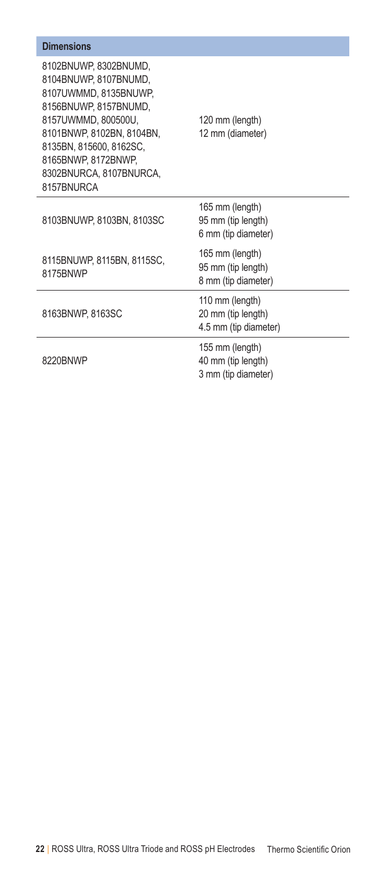| <b>Dimensions</b>                                                                                                                                                                                                                              |                                                                |
|------------------------------------------------------------------------------------------------------------------------------------------------------------------------------------------------------------------------------------------------|----------------------------------------------------------------|
| 8102BNUWP, 8302BNUMD,<br>8104BNUWP.8107BNUMD.<br>8107UWMMD, 8135BNUWP,<br>8156BNUWP, 8157BNUMD,<br>8157UWMMD, 800500U.<br>8101BNWP, 8102BN, 8104BN,<br>8135BN, 815600, 8162SC,<br>8165BNWP, 8172BNWP,<br>8302BNURCA, 8107BNURCA,<br>8157BNURCA | 120 mm (length)<br>12 mm (diameter)                            |
| 8103BNUWP, 8103BN, 8103SC                                                                                                                                                                                                                      | 165 mm (length)<br>95 mm (tip length)<br>6 mm (tip diameter)   |
| 8115BNUWP, 8115BN, 8115SC,<br>8175BNWP                                                                                                                                                                                                         | 165 mm (length)<br>95 mm (tip length)<br>8 mm (tip diameter)   |
| 8163BNWP.8163SC                                                                                                                                                                                                                                | 110 mm (length)<br>20 mm (tip length)<br>4.5 mm (tip diameter) |
| 8220BNWP                                                                                                                                                                                                                                       | 155 mm (length)<br>40 mm (tip length)<br>3 mm (tip diameter)   |